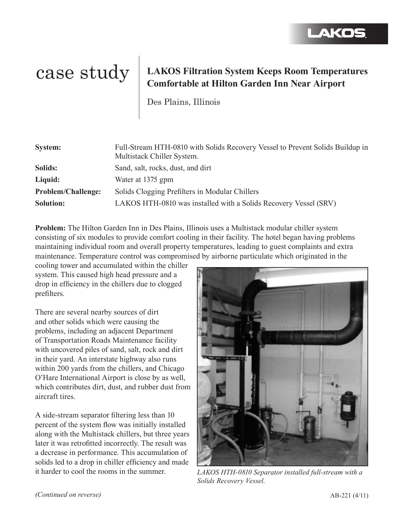## AKOS

## case study **LAKOS Filtration System Keeps Room Temperatures Comfortable at Hilton Garden Inn Near Airport**

Des Plains, Illinois

| <b>System:</b>            | Full-Stream HTH-0810 with Solids Recovery Vessel to Prevent Solids Buildup in<br>Multistack Chiller System. |
|---------------------------|-------------------------------------------------------------------------------------------------------------|
| Solids:                   | Sand, salt, rocks, dust, and dirt                                                                           |
| Liquid:                   | Water at 1375 gpm                                                                                           |
| <b>Problem/Challenge:</b> | Solids Clogging Prefilters in Modular Chillers                                                              |
| <b>Solution:</b>          | LAKOS HTH-0810 was installed with a Solids Recovery Vessel (SRV)                                            |

**Problem:** The Hilton Garden Inn in Des Plains, Illinois uses a Multistack modular chiller system consisting of six modules to provide comfort cooling in their facility. The hotel began having problems maintaining individual room and overall property temperatures, leading to guest complaints and extra maintenance. Temperature control was compromised by airborne particulate which originated in the

cooling tower and accumulated within the chiller system. This caused high head pressure and a drop in efficiency in the chillers due to clogged prefilters.

There are several nearby sources of dirt and other solids which were causing the problems, including an adjacent Department of Transportation Roads Maintenance facility with uncovered piles of sand, salt, rock and dirt in their yard. An interstate highway also runs within 200 yards from the chillers, and Chicago O'Hare International Airport is close by as well, which contributes dirt, dust, and rubber dust from aircraft tires.

A side-stream separator filtering less than 10 percent of the system flow was initially installed along with the Multistack chillers, but three years later it was retrofitted incorrectly. The result was a decrease in performance. This accumulation of solids led to a drop in chiller efficiency and made it harder to cool the rooms in the summer.



*LAKOS HTH-0810 Separator installed full-stream with a Solids Recovery Vessel.*